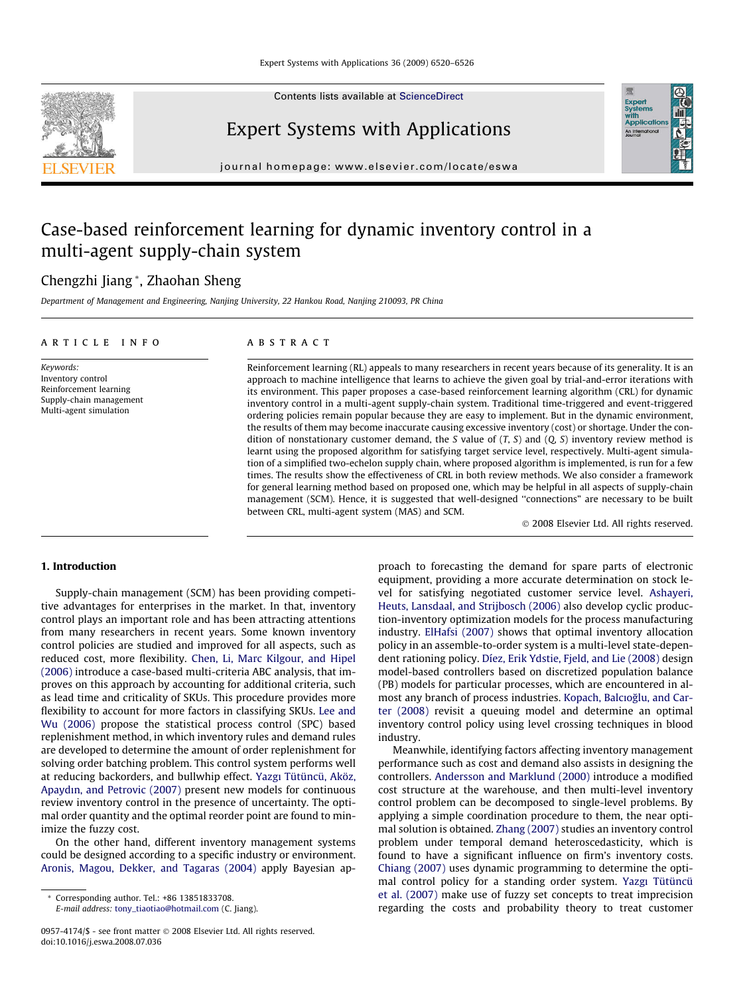Contents lists available at [ScienceDirect](http://www.sciencedirect.com/science/journal/09574174)



Expert Systems with Applications

journal homepage: [www.elsevier.com/locate/eswa](http://www.elsevier.com/locate/eswa)

## Case-based reinforcement learning for dynamic inventory control in a multi-agent supply-chain system

### Chengzhi Jiang \*, Zhaohan Sheng

Department of Management and Engineering, Nanjing University, 22 Hankou Road, Nanjing 210093, PR China

#### article info

Keywords: Inventory control Reinforcement learning Supply-chain management Multi-agent simulation

#### **ABSTRACT**

Reinforcement learning (RL) appeals to many researchers in recent years because of its generality. It is an approach to machine intelligence that learns to achieve the given goal by trial-and-error iterations with its environment. This paper proposes a case-based reinforcement learning algorithm (CRL) for dynamic inventory control in a multi-agent supply-chain system. Traditional time-triggered and event-triggered ordering policies remain popular because they are easy to implement. But in the dynamic environment, the results of them may become inaccurate causing excessive inventory (cost) or shortage. Under the condition of nonstationary customer demand, the S value of  $(T, S)$  and  $(Q, S)$  inventory review method is learnt using the proposed algorithm for satisfying target service level, respectively. Multi-agent simulation of a simplified two-echelon supply chain, where proposed algorithm is implemented, is run for a few times. The results show the effectiveness of CRL in both review methods. We also consider a framework for general learning method based on proposed one, which may be helpful in all aspects of supply-chain management (SCM). Hence, it is suggested that well-designed ''connections" are necessary to be built between CRL, multi-agent system (MAS) and SCM.

- 2008 Elsevier Ltd. All rights reserved.

Expert<br>Syster

#### 1. Introduction

Supply-chain management (SCM) has been providing competitive advantages for enterprises in the market. In that, inventory control plays an important role and has been attracting attentions from many researchers in recent years. Some known inventory control policies are studied and improved for all aspects, such as reduced cost, more flexibility. [Chen, Li, Marc Kilgour, and Hipel](#page--1-0) [\(2006\)](#page--1-0) introduce a case-based multi-criteria ABC analysis, that improves on this approach by accounting for additional criteria, such as lead time and criticality of SKUs. This procedure provides more flexibility to account for more factors in classifying SKUs. [Lee and](#page--1-0) [Wu \(2006\)](#page--1-0) propose the statistical process control (SPC) based replenishment method, in which inventory rules and demand rules are developed to determine the amount of order replenishment for solving order batching problem. This control system performs well at reducing backorders, and bullwhip effect. [Yazgı Tütüncü, Aköz,](#page--1-0) [Apaydın, and Petrovic \(2007\)](#page--1-0) present new models for continuous review inventory control in the presence of uncertainty. The optimal order quantity and the optimal reorder point are found to minimize the fuzzy cost.

On the other hand, different inventory management systems could be designed according to a specific industry or environment. [Aronis, Magou, Dekker, and Tagaras \(2004\)](#page--1-0) apply Bayesian ap-

\* Corresponding author. Tel.: +86 13851833708.

E-mail address: [tony\\_tiaotiao@hotmail.com](mailto:tony_tiaotiao@hotmail.com) (C. Jiang).

proach to forecasting the demand for spare parts of electronic equipment, providing a more accurate determination on stock level for satisfying negotiated customer service level. [Ashayeri,](#page--1-0) [Heuts, Lansdaal, and Strijbosch \(2006\)](#page--1-0) also develop cyclic production-inventory optimization models for the process manufacturing industry. [ElHafsi \(2007\)](#page--1-0) shows that optimal inventory allocation policy in an assemble-to-order system is a multi-level state-dependent rationing policy. [Díez, Erik Ydstie, Fjeld, and Lie \(2008\)](#page--1-0) design model-based controllers based on discretized population balance (PB) models for particular processes, which are encountered in al-most any branch of process industries. [Kopach, Balc](#page--1-0)ıoğlu, and Car[ter \(2008\)](#page--1-0) revisit a queuing model and determine an optimal inventory control policy using level crossing techniques in blood industry.

Meanwhile, identifying factors affecting inventory management performance such as cost and demand also assists in designing the controllers. [Andersson and Marklund \(2000\)](#page--1-0) introduce a modified cost structure at the warehouse, and then multi-level inventory control problem can be decomposed to single-level problems. By applying a simple coordination procedure to them, the near optimal solution is obtained. [Zhang \(2007\)](#page--1-0) studies an inventory control problem under temporal demand heteroscedasticity, which is found to have a significant influence on firm's inventory costs. [Chiang \(2007\)](#page--1-0) uses dynamic programming to determine the optimal control policy for a standing order system. [Yazg](#page--1-0)ı [Tütüncü](#page--1-0) [et al. \(2007\)](#page--1-0) make use of fuzzy set concepts to treat imprecision regarding the costs and probability theory to treat customer

<sup>0957-4174/\$ -</sup> see front matter © 2008 Elsevier Ltd. All rights reserved. doi:10.1016/j.eswa.2008.07.036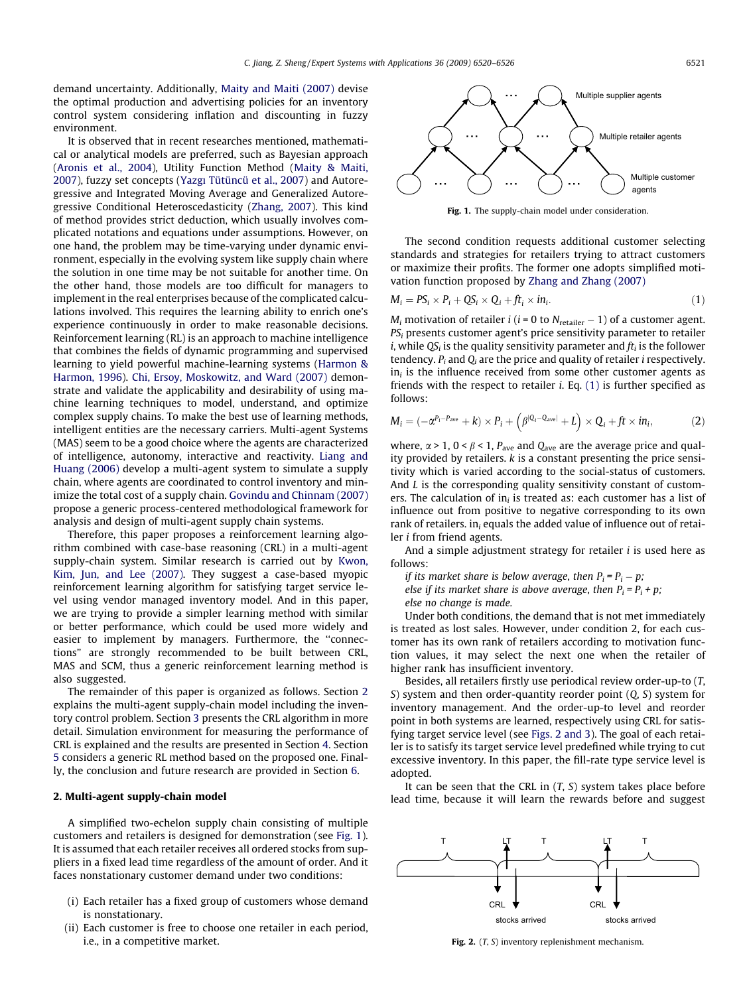demand uncertainty. Additionally, [Maity and Maiti \(2007\)](#page--1-0) devise the optimal production and advertising policies for an inventory control system considering inflation and discounting in fuzzy environment.

It is observed that in recent researches mentioned, mathematical or analytical models are preferred, such as Bayesian approach ([Aronis et al., 2004](#page--1-0)), Utility Function Method ([Maity & Maiti,](#page--1-0) [2007](#page--1-0)), fuzzy set concepts ([Yazgı Tütüncü et al., 2007\)](#page--1-0) and Autoregressive and Integrated Moving Average and Generalized Autoregressive Conditional Heteroscedasticity ([Zhang, 2007\)](#page--1-0). This kind of method provides strict deduction, which usually involves complicated notations and equations under assumptions. However, on one hand, the problem may be time-varying under dynamic environment, especially in the evolving system like supply chain where the solution in one time may be not suitable for another time. On the other hand, those models are too difficult for managers to implement in the real enterprises because of the complicated calculations involved. This requires the learning ability to enrich one's experience continuously in order to make reasonable decisions. Reinforcement learning (RL) is an approach to machine intelligence that combines the fields of dynamic programming and supervised learning to yield powerful machine-learning systems ([Harmon &](#page--1-0) [Harmon, 1996](#page--1-0)). [Chi, Ersoy, Moskowitz, and Ward \(2007\)](#page--1-0) demonstrate and validate the applicability and desirability of using machine learning techniques to model, understand, and optimize complex supply chains. To make the best use of learning methods, intelligent entities are the necessary carriers. Multi-agent Systems (MAS) seem to be a good choice where the agents are characterized of intelligence, autonomy, interactive and reactivity. [Liang and](#page--1-0) [Huang \(2006\)](#page--1-0) develop a multi-agent system to simulate a supply chain, where agents are coordinated to control inventory and minimize the total cost of a supply chain. [Govindu and Chinnam \(2007\)](#page--1-0) propose a generic process-centered methodological framework for analysis and design of multi-agent supply chain systems.

Therefore, this paper proposes a reinforcement learning algorithm combined with case-base reasoning (CRL) in a multi-agent supply-chain system. Similar research is carried out by [Kwon,](#page--1-0) [Kim, Jun, and Lee \(2007\).](#page--1-0) They suggest a case-based myopic reinforcement learning algorithm for satisfying target service level using vendor managed inventory model. And in this paper, we are trying to provide a simpler learning method with similar or better performance, which could be used more widely and easier to implement by managers. Furthermore, the ''connections" are strongly recommended to be built between CRL, MAS and SCM, thus a generic reinforcement learning method is also suggested.

The remainder of this paper is organized as follows. Section 2 explains the multi-agent supply-chain model including the inventory control problem. Section [3](#page--1-0) presents the CRL algorithm in more detail. Simulation environment for measuring the performance of CRL is explained and the results are presented in Section [4.](#page--1-0) Section [5](#page--1-0) considers a generic RL method based on the proposed one. Finally, the conclusion and future research are provided in Section [6.](#page--1-0)

#### 2. Multi-agent supply-chain model

A simplified two-echelon supply chain consisting of multiple customers and retailers is designed for demonstration (see Fig. 1). It is assumed that each retailer receives all ordered stocks from suppliers in a fixed lead time regardless of the amount of order. And it faces nonstationary customer demand under two conditions:

- (i) Each retailer has a fixed group of customers whose demand is nonstationary.
- (ii) Each customer is free to choose one retailer in each period, i.e., in a competitive market.



···

The second condition requests additional customer selecting standards and strategies for retailers trying to attract customers or maximize their profits. The former one adopts simplified motivation function proposed by [Zhang and Zhang \(2007\)](#page--1-0)

$$
M_i = PS_i \times P_i + QS_i \times Q_i + ft_i \times in_i.
$$
\n(1)

 $M_i$  motivation of retailer  $i$  ( $i$  = 0 to  $N_{\text{retailer}}$  – 1) of a customer agent.  $PS<sub>i</sub>$  presents customer agent's price sensitivity parameter to retailer i, while  $QS<sub>i</sub>$  is the quality sensitivity parameter and  $ft<sub>i</sub>$  is the follower tendency.  $P_i$  and  $Q_i$  are the price and quality of retailer *i* respectively.  $in<sub>i</sub>$  is the influence received from some other customer agents as friends with the respect to retailer *i*. Eq.  $(1)$  is further specified as follows:

$$
M_i = (-\alpha^{p_i - p_{ave}} + k) \times P_i + (\beta^{|Q_i - Q_{ave}|} + L) \times Q_i + ft \times in_i,
$$
 (2)

where,  $\alpha > 1$ ,  $0 < \beta < 1$ ,  $P_{\text{ave}}$  and  $Q_{\text{ave}}$  are the average price and quality provided by retailers.  $k$  is a constant presenting the price sensitivity which is varied according to the social-status of customers. And L is the corresponding quality sensitivity constant of customers. The calculation of in<sub>i</sub> is treated as: each customer has a list of influence out from positive to negative corresponding to its own rank of retailers. in<sub>i</sub> equals the added value of influence out of retailer i from friend agents.

And a simple adjustment strategy for retailer  $i$  is used here as follows:

- if its market share is below average, then  $P_i = P_i p$ ;
- else if its market share is above average, then  $P_i = P_i + p$ ;
- else no change is made.

Under both conditions, the demand that is not met immediately is treated as lost sales. However, under condition 2, for each customer has its own rank of retailers according to motivation function values, it may select the next one when the retailer of higher rank has insufficient inventory.

Besides, all retailers firstly use periodical review order-up-to (T, S) system and then order-quantity reorder point (Q, S) system for inventory management. And the order-up-to level and reorder point in both systems are learned, respectively using CRL for satisfying target service level (see Figs. 2 and 3). The goal of each retailer is to satisfy its target service level predefined while trying to cut excessive inventory. In this paper, the fill-rate type service level is adopted.

It can be seen that the CRL in  $(T, S)$  system takes place before lead time, because it will learn the rewards before and suggest



Fig. 2.  $(T, S)$  inventory replenishment mechanism.

Multiple supplier agents